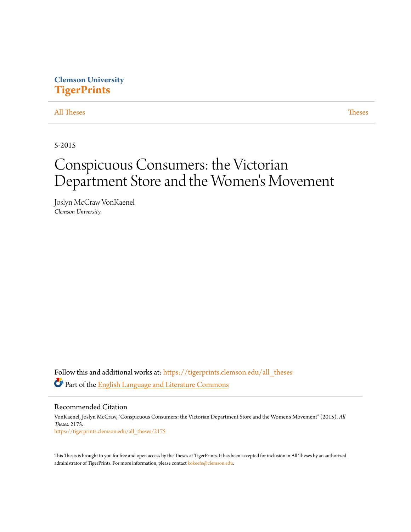# **Clemson University [TigerPrints](https://tigerprints.clemson.edu?utm_source=tigerprints.clemson.edu%2Fall_theses%2F2175&utm_medium=PDF&utm_campaign=PDFCoverPages)**

### [All Theses](https://tigerprints.clemson.edu/all_theses?utm_source=tigerprints.clemson.edu%2Fall_theses%2F2175&utm_medium=PDF&utm_campaign=PDFCoverPages) **[Theses](https://tigerprints.clemson.edu/theses?utm_source=tigerprints.clemson.edu%2Fall_theses%2F2175&utm_medium=PDF&utm_campaign=PDFCoverPages)**

5-2015

# Conspicuous Consumers: the Victorian Department Store and the Women 's Movement

Joslyn McCraw VonKaenel *Clemson University*

Follow this and additional works at: [https://tigerprints.clemson.edu/all\\_theses](https://tigerprints.clemson.edu/all_theses?utm_source=tigerprints.clemson.edu%2Fall_theses%2F2175&utm_medium=PDF&utm_campaign=PDFCoverPages) Part of the [English Language and Literature Commons](http://network.bepress.com/hgg/discipline/455?utm_source=tigerprints.clemson.edu%2Fall_theses%2F2175&utm_medium=PDF&utm_campaign=PDFCoverPages)

Recommended Citation VonKaenel, Joslyn McCraw, "Conspicuous Consumers: the Victorian Department Store and the Women's Movement" (2015). *All Theses*. 2175. [https://tigerprints.clemson.edu/all\\_theses/2175](https://tigerprints.clemson.edu/all_theses/2175?utm_source=tigerprints.clemson.edu%2Fall_theses%2F2175&utm_medium=PDF&utm_campaign=PDFCoverPages)

This Thesis is brought to you for free and open access by the Theses at TigerPrints. It has been accepted for inclusion in All Theses by an authorized administrator of TigerPrints. For more information, please contact [kokeefe@clemson.edu](mailto:kokeefe@clemson.edu).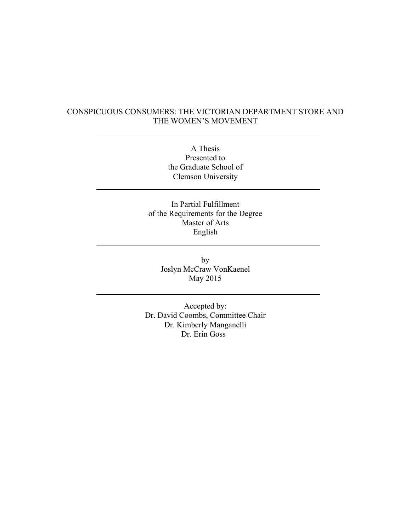## CONSPICUOUS CONSUMERS: THE VICTORIAN DEPARTMENT STORE AND THE WOMEN'S MOVEMENT

A Thesis Presented to the Graduate School of Clemson University

In Partial Fulfillment of the Requirements for the Degree Master of Arts English

> by Joslyn McCraw VonKaenel May 2015

Accepted by: Dr. David Coombs, Committee Chair Dr. Kimberly Manganelli Dr. Erin Goss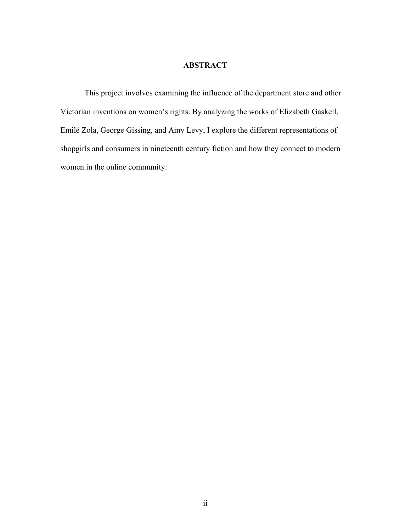## **ABSTRACT**

This project involves examining the influence of the department store and other Victorian inventions on women's rights. By analyzing the works of Elizabeth Gaskell, Emilé Zola, George Gissing, and Amy Levy, I explore the different representations of shopgirls and consumers in nineteenth century fiction and how they connect to modern women in the online community.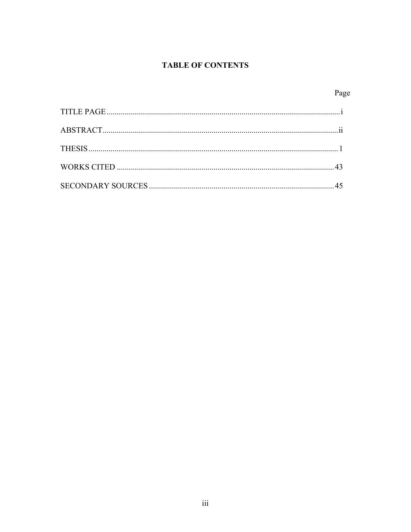# **TABLE OF CONTENTS**

|--|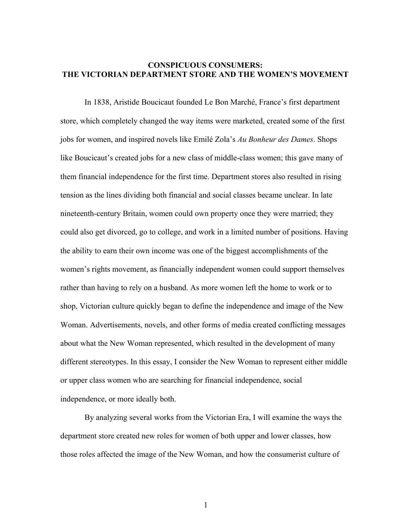### **CONSPICUOUS CONSUMERS: THE VICTORIAN DEPARTMENT STORE AND THE WOMEN'S MOVEMENT**

In 1838, Aristide Boucicaut founded Le Bon Marché, France's first department store, which completely changed the way items were marketed, created some of the first jobs for women, and inspired novels like Emilé Zola's *Au Bonheur des Dames*. Shops like Boucicaut's created jobs for a new class of middle-class women; this gave many of them financial independence for the first time. Department stores also resulted in rising tension as the lines dividing both financial and social classes became unclear. In late nineteenth-century Britain, women could own property once they were married; they could also get divorced, go to college, and work in a limited number of positions. Having the ability to earn their own income was one of the biggest accomplishments of the women's rights movement, as financially independent women could support themselves rather than having to rely on a husband. As more women left the home to work or to shop, Victorian culture quickly began to define the independence and image of the New Woman. Advertisements, novels, and other forms of media created conflicting messages about what the New Woman represented, which resulted in the development of many different stereotypes. In this essay, I consider the New Woman to represent either middle or upper class women who are searching for financial independence, social independence, or more ideally both.

By analyzing several works from the Victorian Era, I will examine the ways the department store created new roles for women of both upper and lower classes, how those roles affected the image of the New Woman, and how the consumerist culture of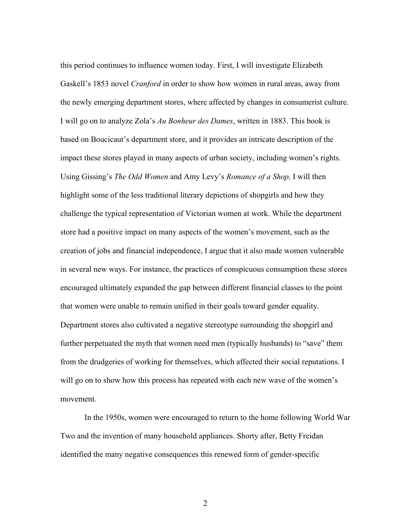this period continues to influence women today. First, I will investigate Elizabeth Gaskell's 1853 novel *Cranford* in order to show how women in rural areas, away from the newly emerging department stores, where affected by changes in consumerist culture. I will go on to analyze Zola's *Au Bonheur des Dames*, written in 1883. This book is based on Boucicaut's department store, and it provides an intricate description of the impact these stores played in many aspects of urban society, including women's rights. Using Gissing's *The Odd Women* and Amy Levy's *Romance of a Shop,* I will then highlight some of the less traditional literary depictions of shopgirls and how they challenge the typical representation of Victorian women at work. While the department store had a positive impact on many aspects of the women's movement, such as the creation of jobs and financial independence, I argue that it also made women vulnerable in several new ways. For instance, the practices of conspicuous consumption these stores encouraged ultimately expanded the gap between different financial classes to the point that women were unable to remain unified in their goals toward gender equality. Department stores also cultivated a negative stereotype surrounding the shopgirl and further perpetuated the myth that women need men (typically husbands) to "save" them from the drudgeries of working for themselves, which affected their social reputations. I will go on to show how this process has repeated with each new wave of the women's movement.

In the 1950s, women were encouraged to return to the home following World War Two and the invention of many household appliances. Shorty after, Betty Freidan identified the many negative consequences this renewed form of gender-specific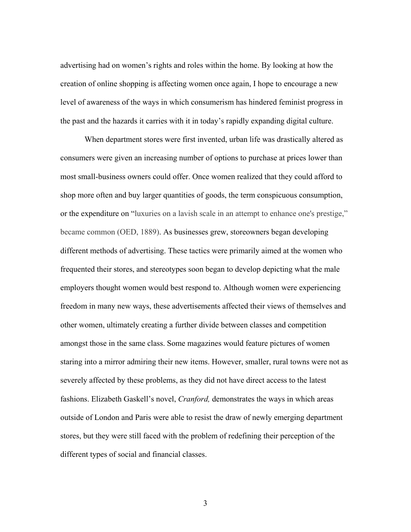advertising had on women's rights and roles within the home. By looking at how the creation of online shopping is affecting women once again, I hope to encourage a new level of awareness of the ways in which consumerism has hindered feminist progress in the past and the hazards it carries with it in today's rapidly expanding digital culture.

When department stores were first invented, urban life was drastically altered as consumers were given an increasing number of options to purchase at prices lower than most small-business owners could offer. Once women realized that they could afford to shop more often and buy larger quantities of goods, the term conspicuous consumption, or the expenditure on "luxuries on a lavish scale in an attempt to enhance one's prestige," became common (OED, 1889). As businesses grew, storeowners began developing different methods of advertising. These tactics were primarily aimed at the women who frequented their stores, and stereotypes soon began to develop depicting what the male employers thought women would best respond to. Although women were experiencing freedom in many new ways, these advertisements affected their views of themselves and other women, ultimately creating a further divide between classes and competition amongst those in the same class. Some magazines would feature pictures of women staring into a mirror admiring their new items. However, smaller, rural towns were not as severely affected by these problems, as they did not have direct access to the latest fashions. Elizabeth Gaskell's novel, *Cranford,* demonstrates the ways in which areas outside of London and Paris were able to resist the draw of newly emerging department stores, but they were still faced with the problem of redefining their perception of the different types of social and financial classes.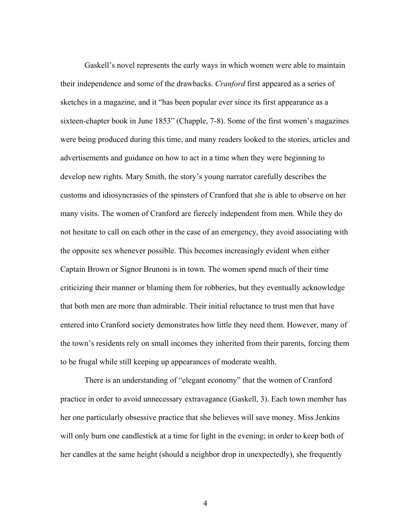Gaskell's novel represents the early ways in which women were able to maintain their independence and some of the drawbacks. *Cranford* first appeared as a series of sketches in a magazine, and it "has been popular ever since its first appearance as a sixteen-chapter book in June 1853" (Chapple, 7-8). Some of the first women's magazines were being produced during this time, and many readers looked to the stories, articles and advertisements and guidance on how to act in a time when they were beginning to develop new rights. Mary Smith, the story's young narrator carefully describes the customs and idiosyncrasies of the spinsters of Cranford that she is able to observe on her many visits. The women of Cranford are fiercely independent from men. While they do not hesitate to call on each other in the case of an emergency, they avoid associating with the opposite sex whenever possible. This becomes increasingly evident when either Captain Brown or Signor Brunoni is in town. The women spend much of their time criticizing their manner or blaming them for robberies, but they eventually acknowledge that both men are more than admirable. Their initial reluctance to trust men that have entered into Cranford society demonstrates how little they need them. However, many of the town's residents rely on small incomes they inherited from their parents, forcing them to be frugal while still keeping up appearances of moderate wealth.

There is an understanding of "elegant economy" that the women of Cranford practice in order to avoid unnecessary extravagance (Gaskell, 3). Each town member has her one particularly obsessive practice that she believes will save money. Miss Jenkins will only burn one candlestick at a time for light in the evening; in order to keep both of her candles at the same height (should a neighbor drop in unexpectedly), she frequently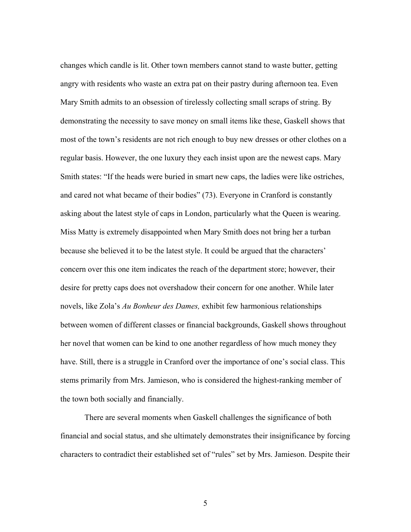changes which candle is lit. Other town members cannot stand to waste butter, getting angry with residents who waste an extra pat on their pastry during afternoon tea. Even Mary Smith admits to an obsession of tirelessly collecting small scraps of string. By demonstrating the necessity to save money on small items like these, Gaskell shows that most of the town's residents are not rich enough to buy new dresses or other clothes on a regular basis. However, the one luxury they each insist upon are the newest caps. Mary Smith states: "If the heads were buried in smart new caps, the ladies were like ostriches, and cared not what became of their bodies" (73). Everyone in Cranford is constantly asking about the latest style of caps in London, particularly what the Queen is wearing. Miss Matty is extremely disappointed when Mary Smith does not bring her a turban because she believed it to be the latest style. It could be argued that the characters' concern over this one item indicates the reach of the department store; however, their desire for pretty caps does not overshadow their concern for one another. While later novels, like Zola's *Au Bonheur des Dames,* exhibit few harmonious relationships between women of different classes or financial backgrounds, Gaskell shows throughout her novel that women can be kind to one another regardless of how much money they have. Still, there is a struggle in Cranford over the importance of one's social class. This stems primarily from Mrs. Jamieson, who is considered the highest-ranking member of the town both socially and financially.

There are several moments when Gaskell challenges the significance of both financial and social status, and she ultimately demonstrates their insignificance by forcing characters to contradict their established set of "rules" set by Mrs. Jamieson. Despite their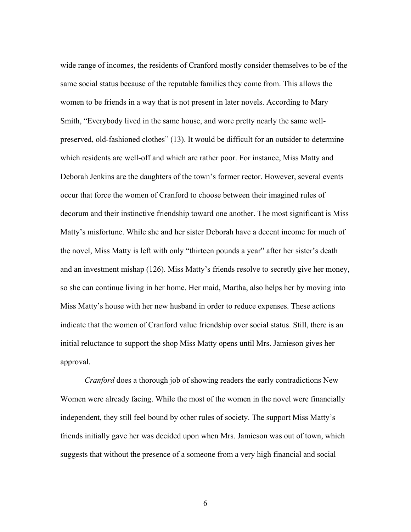wide range of incomes, the residents of Cranford mostly consider themselves to be of the same social status because of the reputable families they come from. This allows the women to be friends in a way that is not present in later novels. According to Mary Smith, "Everybody lived in the same house, and wore pretty nearly the same wellpreserved, old-fashioned clothes" (13). It would be difficult for an outsider to determine which residents are well-off and which are rather poor. For instance, Miss Matty and Deborah Jenkins are the daughters of the town's former rector. However, several events occur that force the women of Cranford to choose between their imagined rules of decorum and their instinctive friendship toward one another. The most significant is Miss Matty's misfortune. While she and her sister Deborah have a decent income for much of the novel, Miss Matty is left with only "thirteen pounds a year" after her sister's death and an investment mishap (126). Miss Matty's friends resolve to secretly give her money, so she can continue living in her home. Her maid, Martha, also helps her by moving into Miss Matty's house with her new husband in order to reduce expenses. These actions indicate that the women of Cranford value friendship over social status. Still, there is an initial reluctance to support the shop Miss Matty opens until Mrs. Jamieson gives her approval.

*Cranford* does a thorough job of showing readers the early contradictions New Women were already facing. While the most of the women in the novel were financially independent, they still feel bound by other rules of society. The support Miss Matty's friends initially gave her was decided upon when Mrs. Jamieson was out of town, which suggests that without the presence of a someone from a very high financial and social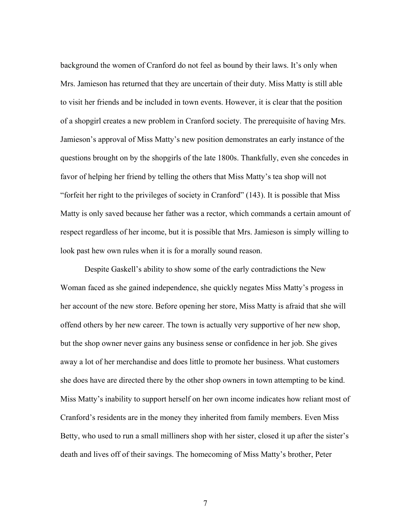background the women of Cranford do not feel as bound by their laws. It's only when Mrs. Jamieson has returned that they are uncertain of their duty. Miss Matty is still able to visit her friends and be included in town events. However, it is clear that the position of a shopgirl creates a new problem in Cranford society. The prerequisite of having Mrs. Jamieson's approval of Miss Matty's new position demonstrates an early instance of the questions brought on by the shopgirls of the late 1800s. Thankfully, even she concedes in favor of helping her friend by telling the others that Miss Matty's tea shop will not "forfeit her right to the privileges of society in Cranford" (143). It is possible that Miss Matty is only saved because her father was a rector, which commands a certain amount of respect regardless of her income, but it is possible that Mrs. Jamieson is simply willing to look past hew own rules when it is for a morally sound reason.

Despite Gaskell's ability to show some of the early contradictions the New Woman faced as she gained independence, she quickly negates Miss Matty's progess in her account of the new store. Before opening her store, Miss Matty is afraid that she will offend others by her new career. The town is actually very supportive of her new shop, but the shop owner never gains any business sense or confidence in her job. She gives away a lot of her merchandise and does little to promote her business. What customers she does have are directed there by the other shop owners in town attempting to be kind. Miss Matty's inability to support herself on her own income indicates how reliant most of Cranford's residents are in the money they inherited from family members. Even Miss Betty, who used to run a small milliners shop with her sister, closed it up after the sister's death and lives off of their savings. The homecoming of Miss Matty's brother, Peter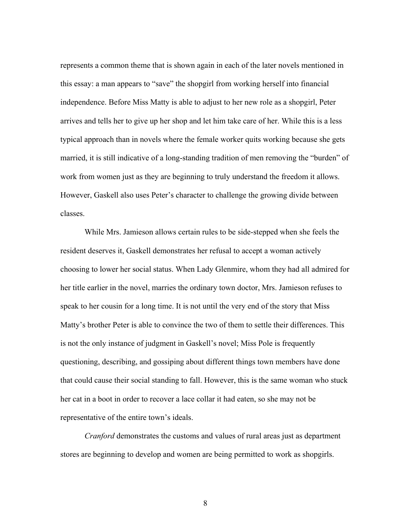represents a common theme that is shown again in each of the later novels mentioned in this essay: a man appears to "save" the shopgirl from working herself into financial independence. Before Miss Matty is able to adjust to her new role as a shopgirl, Peter arrives and tells her to give up her shop and let him take care of her. While this is a less typical approach than in novels where the female worker quits working because she gets married, it is still indicative of a long-standing tradition of men removing the "burden" of work from women just as they are beginning to truly understand the freedom it allows. However, Gaskell also uses Peter's character to challenge the growing divide between classes.

While Mrs. Jamieson allows certain rules to be side-stepped when she feels the resident deserves it, Gaskell demonstrates her refusal to accept a woman actively choosing to lower her social status. When Lady Glenmire, whom they had all admired for her title earlier in the novel, marries the ordinary town doctor, Mrs. Jamieson refuses to speak to her cousin for a long time. It is not until the very end of the story that Miss Matty's brother Peter is able to convince the two of them to settle their differences. This is not the only instance of judgment in Gaskell's novel; Miss Pole is frequently questioning, describing, and gossiping about different things town members have done that could cause their social standing to fall. However, this is the same woman who stuck her cat in a boot in order to recover a lace collar it had eaten, so she may not be representative of the entire town's ideals.

*Cranford* demonstrates the customs and values of rural areas just as department stores are beginning to develop and women are being permitted to work as shopgirls.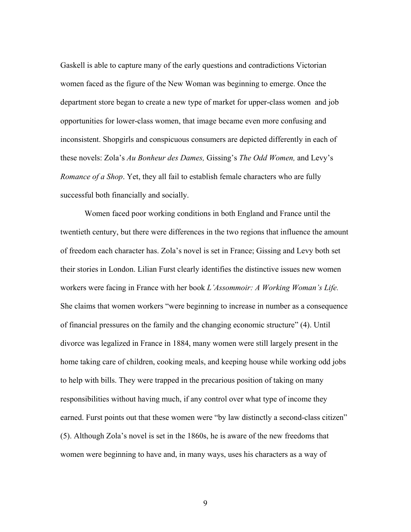Gaskell is able to capture many of the early questions and contradictions Victorian women faced as the figure of the New Woman was beginning to emerge. Once the department store began to create a new type of market for upper-class women and job opportunities for lower-class women, that image became even more confusing and inconsistent. Shopgirls and conspicuous consumers are depicted differently in each of these novels: Zola's *Au Bonheur des Dames,* Gissing's *The Odd Women,* and Levy's *Romance of a Shop*. Yet, they all fail to establish female characters who are fully successful both financially and socially.

Women faced poor working conditions in both England and France until the twentieth century, but there were differences in the two regions that influence the amount of freedom each character has. Zola's novel is set in France; Gissing and Levy both set their stories in London. Lilian Furst clearly identifies the distinctive issues new women workers were facing in France with her book *L'Assommoir: A Working Woman's Life.* She claims that women workers "were beginning to increase in number as a consequence of financial pressures on the family and the changing economic structure" (4). Until divorce was legalized in France in 1884, many women were still largely present in the home taking care of children, cooking meals, and keeping house while working odd jobs to help with bills. They were trapped in the precarious position of taking on many responsibilities without having much, if any control over what type of income they earned. Furst points out that these women were "by law distinctly a second-class citizen" (5). Although Zola's novel is set in the 1860s, he is aware of the new freedoms that women were beginning to have and, in many ways, uses his characters as a way of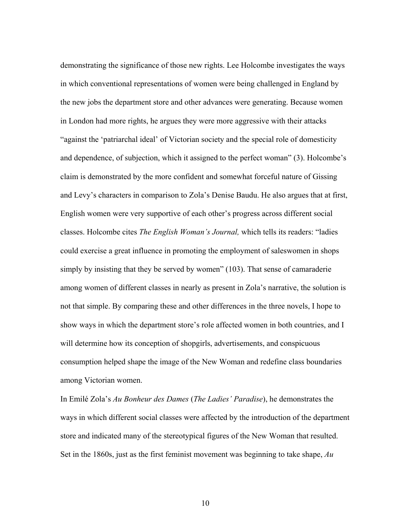demonstrating the significance of those new rights. Lee Holcombe investigates the ways in which conventional representations of women were being challenged in England by the new jobs the department store and other advances were generating. Because women in London had more rights, he argues they were more aggressive with their attacks "against the 'patriarchal ideal' of Victorian society and the special role of domesticity and dependence, of subjection, which it assigned to the perfect woman" (3). Holcombe's claim is demonstrated by the more confident and somewhat forceful nature of Gissing and Levy's characters in comparison to Zola's Denise Baudu. He also argues that at first, English women were very supportive of each other's progress across different social classes. Holcombe cites *The English Woman's Journal,* which tells its readers: "ladies could exercise a great influence in promoting the employment of saleswomen in shops simply by insisting that they be served by women" (103). That sense of camaraderie among women of different classes in nearly as present in Zola's narrative, the solution is not that simple. By comparing these and other differences in the three novels, I hope to show ways in which the department store's role affected women in both countries, and I will determine how its conception of shopgirls, advertisements, and conspicuous consumption helped shape the image of the New Woman and redefine class boundaries among Victorian women.

In Emilé Zola's *Au Bonheur des Dames* (*The Ladies' Paradise*), he demonstrates the ways in which different social classes were affected by the introduction of the department store and indicated many of the stereotypical figures of the New Woman that resulted. Set in the 1860s, just as the first feminist movement was beginning to take shape, *Au*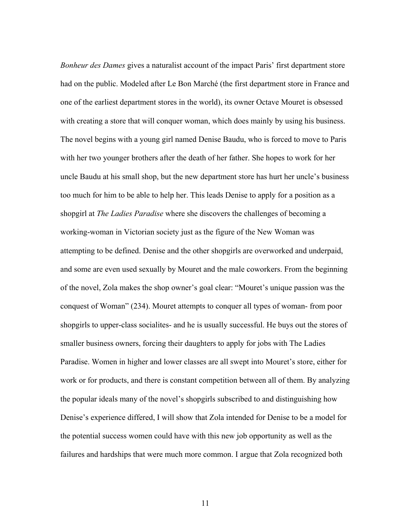*Bonheur des Dames* gives a naturalist account of the impact Paris' first department store had on the public. Modeled after Le Bon Marché (the first department store in France and one of the earliest department stores in the world), its owner Octave Mouret is obsessed with creating a store that will conquer woman, which does mainly by using his business. The novel begins with a young girl named Denise Baudu, who is forced to move to Paris with her two younger brothers after the death of her father. She hopes to work for her uncle Baudu at his small shop, but the new department store has hurt her uncle's business too much for him to be able to help her. This leads Denise to apply for a position as a shopgirl at *The Ladies Paradise* where she discovers the challenges of becoming a working-woman in Victorian society just as the figure of the New Woman was attempting to be defined. Denise and the other shopgirls are overworked and underpaid, and some are even used sexually by Mouret and the male coworkers. From the beginning of the novel, Zola makes the shop owner's goal clear: "Mouret's unique passion was the conquest of Woman" (234). Mouret attempts to conquer all types of woman- from poor shopgirls to upper-class socialites- and he is usually successful. He buys out the stores of smaller business owners, forcing their daughters to apply for jobs with The Ladies Paradise. Women in higher and lower classes are all swept into Mouret's store, either for work or for products, and there is constant competition between all of them. By analyzing the popular ideals many of the novel's shopgirls subscribed to and distinguishing how Denise's experience differed, I will show that Zola intended for Denise to be a model for the potential success women could have with this new job opportunity as well as the failures and hardships that were much more common. I argue that Zola recognized both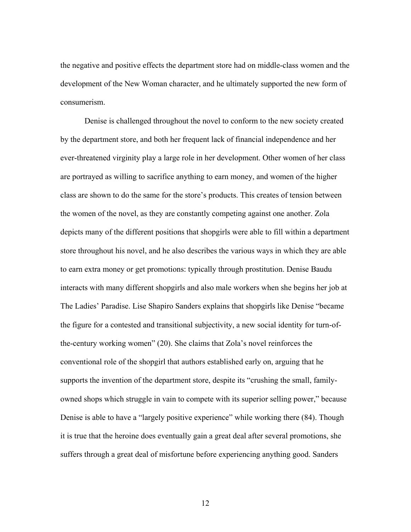the negative and positive effects the department store had on middle-class women and the development of the New Woman character, and he ultimately supported the new form of consumerism.

Denise is challenged throughout the novel to conform to the new society created by the department store, and both her frequent lack of financial independence and her ever-threatened virginity play a large role in her development. Other women of her class are portrayed as willing to sacrifice anything to earn money, and women of the higher class are shown to do the same for the store's products. This creates of tension between the women of the novel, as they are constantly competing against one another. Zola depicts many of the different positions that shopgirls were able to fill within a department store throughout his novel, and he also describes the various ways in which they are able to earn extra money or get promotions: typically through prostitution. Denise Baudu interacts with many different shopgirls and also male workers when she begins her job at The Ladies' Paradise. Lise Shapiro Sanders explains that shopgirls like Denise "became the figure for a contested and transitional subjectivity, a new social identity for turn-ofthe-century working women" (20). She claims that Zola's novel reinforces the conventional role of the shopgirl that authors established early on, arguing that he supports the invention of the department store, despite its "crushing the small, familyowned shops which struggle in vain to compete with its superior selling power," because Denise is able to have a "largely positive experience" while working there (84). Though it is true that the heroine does eventually gain a great deal after several promotions, she suffers through a great deal of misfortune before experiencing anything good. Sanders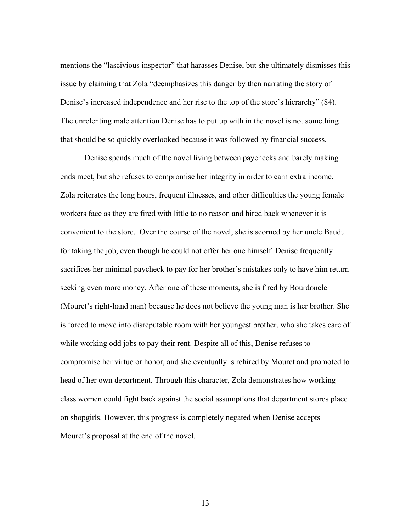mentions the "lascivious inspector" that harasses Denise, but she ultimately dismisses this issue by claiming that Zola "deemphasizes this danger by then narrating the story of Denise's increased independence and her rise to the top of the store's hierarchy" (84). The unrelenting male attention Denise has to put up with in the novel is not something that should be so quickly overlooked because it was followed by financial success.

Denise spends much of the novel living between paychecks and barely making ends meet, but she refuses to compromise her integrity in order to earn extra income. Zola reiterates the long hours, frequent illnesses, and other difficulties the young female workers face as they are fired with little to no reason and hired back whenever it is convenient to the store. Over the course of the novel, she is scorned by her uncle Baudu for taking the job, even though he could not offer her one himself. Denise frequently sacrifices her minimal paycheck to pay for her brother's mistakes only to have him return seeking even more money. After one of these moments, she is fired by Bourdoncle (Mouret's right-hand man) because he does not believe the young man is her brother. She is forced to move into disreputable room with her youngest brother, who she takes care of while working odd jobs to pay their rent. Despite all of this, Denise refuses to compromise her virtue or honor, and she eventually is rehired by Mouret and promoted to head of her own department. Through this character, Zola demonstrates how workingclass women could fight back against the social assumptions that department stores place on shopgirls. However, this progress is completely negated when Denise accepts Mouret's proposal at the end of the novel.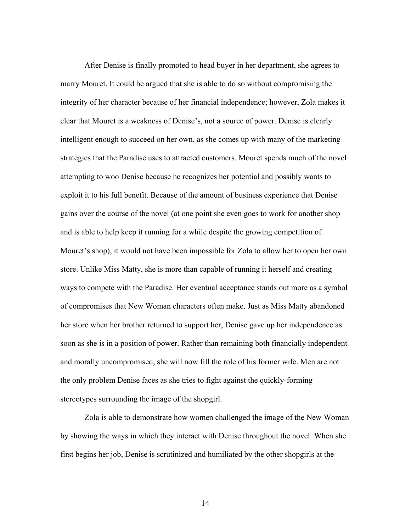After Denise is finally promoted to head buyer in her department, she agrees to marry Mouret. It could be argued that she is able to do so without compromising the integrity of her character because of her financial independence; however, Zola makes it clear that Mouret is a weakness of Denise's, not a source of power. Denise is clearly intelligent enough to succeed on her own, as she comes up with many of the marketing strategies that the Paradise uses to attracted customers. Mouret spends much of the novel attempting to woo Denise because he recognizes her potential and possibly wants to exploit it to his full benefit. Because of the amount of business experience that Denise gains over the course of the novel (at one point she even goes to work for another shop and is able to help keep it running for a while despite the growing competition of Mouret's shop), it would not have been impossible for Zola to allow her to open her own store. Unlike Miss Matty, she is more than capable of running it herself and creating ways to compete with the Paradise. Her eventual acceptance stands out more as a symbol of compromises that New Woman characters often make. Just as Miss Matty abandoned her store when her brother returned to support her, Denise gave up her independence as soon as she is in a position of power. Rather than remaining both financially independent and morally uncompromised, she will now fill the role of his former wife. Men are not the only problem Denise faces as she tries to fight against the quickly-forming stereotypes surrounding the image of the shopgirl.

Zola is able to demonstrate how women challenged the image of the New Woman by showing the ways in which they interact with Denise throughout the novel. When she first begins her job, Denise is scrutinized and humiliated by the other shopgirls at the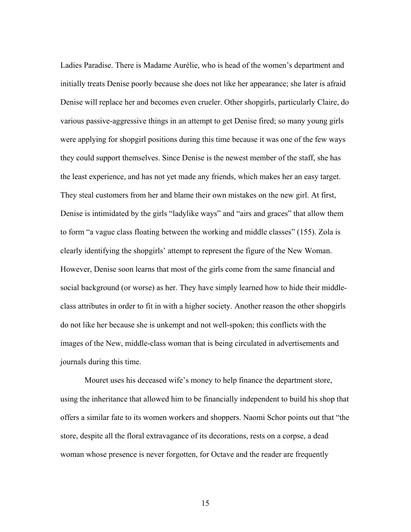Ladies Paradise. There is Madame Aurélie, who is head of the women's department and initially treats Denise poorly because she does not like her appearance; she later is afraid Denise will replace her and becomes even crueler. Other shopgirls, particularly Claire, do various passive-aggressive things in an attempt to get Denise fired; so many young girls were applying for shopgirl positions during this time because it was one of the few ways they could support themselves. Since Denise is the newest member of the staff, she has the least experience, and has not yet made any friends, which makes her an easy target. They steal customers from her and blame their own mistakes on the new girl. At first, Denise is intimidated by the girls "ladylike ways" and "airs and graces" that allow them to form "a vague class floating between the working and middle classes" (155). Zola is clearly identifying the shopgirls' attempt to represent the figure of the New Woman. However, Denise soon learns that most of the girls come from the same financial and social background (or worse) as her. They have simply learned how to hide their middleclass attributes in order to fit in with a higher society. Another reason the other shopgirls do not like her because she is unkempt and not well-spoken; this conflicts with the images of the New, middle-class woman that is being circulated in advertisements and journals during this time.

Mouret uses his deceased wife's money to help finance the department store, using the inheritance that allowed him to be financially independent to build his shop that offers a similar fate to its women workers and shoppers. Naomi Schor points out that "the store, despite all the floral extravagance of its decorations, rests on a corpse, a dead woman whose presence is never forgotten, for Octave and the reader are frequently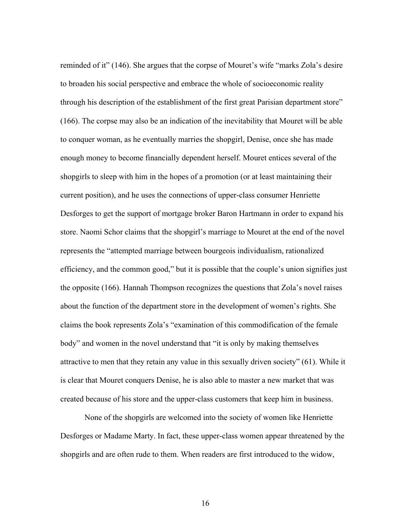reminded of it" (146). She argues that the corpse of Mouret's wife "marks Zola's desire to broaden his social perspective and embrace the whole of socioeconomic reality through his description of the establishment of the first great Parisian department store" (166). The corpse may also be an indication of the inevitability that Mouret will be able to conquer woman, as he eventually marries the shopgirl, Denise, once she has made enough money to become financially dependent herself. Mouret entices several of the shopgirls to sleep with him in the hopes of a promotion (or at least maintaining their current position), and he uses the connections of upper-class consumer Henriette Desforges to get the support of mortgage broker Baron Hartmann in order to expand his store. Naomi Schor claims that the shopgirl's marriage to Mouret at the end of the novel represents the "attempted marriage between bourgeois individualism, rationalized efficiency, and the common good," but it is possible that the couple's union signifies just the opposite (166). Hannah Thompson recognizes the questions that Zola's novel raises about the function of the department store in the development of women's rights. She claims the book represents Zola's "examination of this commodification of the female body" and women in the novel understand that "it is only by making themselves attractive to men that they retain any value in this sexually driven society" (61). While it is clear that Mouret conquers Denise, he is also able to master a new market that was created because of his store and the upper-class customers that keep him in business.

None of the shopgirls are welcomed into the society of women like Henriette Desforges or Madame Marty. In fact, these upper-class women appear threatened by the shopgirls and are often rude to them. When readers are first introduced to the widow,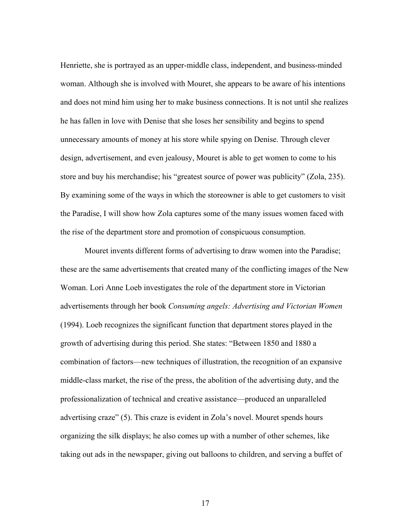Henriette, she is portrayed as an upper-middle class, independent, and business-minded woman. Although she is involved with Mouret, she appears to be aware of his intentions and does not mind him using her to make business connections. It is not until she realizes he has fallen in love with Denise that she loses her sensibility and begins to spend unnecessary amounts of money at his store while spying on Denise. Through clever design, advertisement, and even jealousy, Mouret is able to get women to come to his store and buy his merchandise; his "greatest source of power was publicity" (Zola, 235). By examining some of the ways in which the storeowner is able to get customers to visit the Paradise, I will show how Zola captures some of the many issues women faced with the rise of the department store and promotion of conspicuous consumption.

Mouret invents different forms of advertising to draw women into the Paradise; these are the same advertisements that created many of the conflicting images of the New Woman. Lori Anne Loeb investigates the role of the department store in Victorian advertisements through her book *Consuming angels: Advertising and Victorian Women*  (1994). Loeb recognizes the significant function that department stores played in the growth of advertising during this period. She states: "Between 1850 and 1880 a combination of factors—new techniques of illustration, the recognition of an expansive middle-class market, the rise of the press, the abolition of the advertising duty, and the professionalization of technical and creative assistance—produced an unparalleled advertising craze" (5). This craze is evident in Zola's novel. Mouret spends hours organizing the silk displays; he also comes up with a number of other schemes, like taking out ads in the newspaper, giving out balloons to children, and serving a buffet of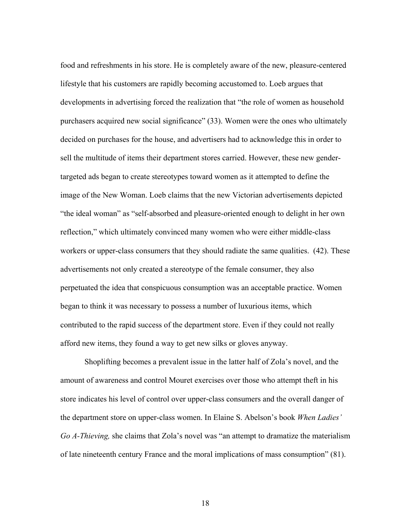food and refreshments in his store. He is completely aware of the new, pleasure-centered lifestyle that his customers are rapidly becoming accustomed to. Loeb argues that developments in advertising forced the realization that "the role of women as household purchasers acquired new social significance" (33). Women were the ones who ultimately decided on purchases for the house, and advertisers had to acknowledge this in order to sell the multitude of items their department stores carried. However, these new gendertargeted ads began to create stereotypes toward women as it attempted to define the image of the New Woman. Loeb claims that the new Victorian advertisements depicted "the ideal woman" as "self-absorbed and pleasure-oriented enough to delight in her own reflection," which ultimately convinced many women who were either middle-class workers or upper-class consumers that they should radiate the same qualities. (42). These advertisements not only created a stereotype of the female consumer, they also perpetuated the idea that conspicuous consumption was an acceptable practice. Women began to think it was necessary to possess a number of luxurious items, which contributed to the rapid success of the department store. Even if they could not really afford new items, they found a way to get new silks or gloves anyway.

Shoplifting becomes a prevalent issue in the latter half of Zola's novel, and the amount of awareness and control Mouret exercises over those who attempt theft in his store indicates his level of control over upper-class consumers and the overall danger of the department store on upper-class women. In Elaine S. Abelson's book *When Ladies' Go A-Thieving,* she claims that Zola's novel was "an attempt to dramatize the materialism of late nineteenth century France and the moral implications of mass consumption" (81).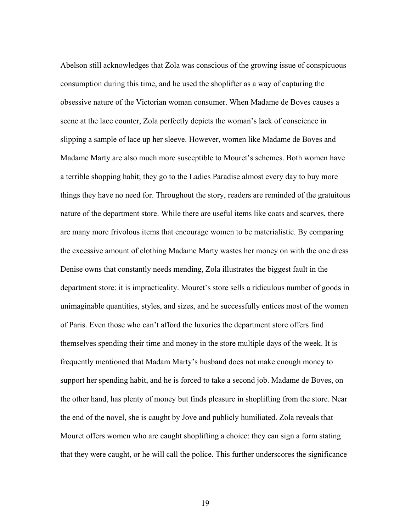Abelson still acknowledges that Zola was conscious of the growing issue of conspicuous consumption during this time, and he used the shoplifter as a way of capturing the obsessive nature of the Victorian woman consumer. When Madame de Boves causes a scene at the lace counter, Zola perfectly depicts the woman's lack of conscience in slipping a sample of lace up her sleeve. However, women like Madame de Boves and Madame Marty are also much more susceptible to Mouret's schemes. Both women have a terrible shopping habit; they go to the Ladies Paradise almost every day to buy more things they have no need for. Throughout the story, readers are reminded of the gratuitous nature of the department store. While there are useful items like coats and scarves, there are many more frivolous items that encourage women to be materialistic. By comparing the excessive amount of clothing Madame Marty wastes her money on with the one dress Denise owns that constantly needs mending, Zola illustrates the biggest fault in the department store: it is impracticality. Mouret's store sells a ridiculous number of goods in unimaginable quantities, styles, and sizes, and he successfully entices most of the women of Paris. Even those who can't afford the luxuries the department store offers find themselves spending their time and money in the store multiple days of the week. It is frequently mentioned that Madam Marty's husband does not make enough money to support her spending habit, and he is forced to take a second job. Madame de Boves, on the other hand, has plenty of money but finds pleasure in shoplifting from the store. Near the end of the novel, she is caught by Jove and publicly humiliated. Zola reveals that Mouret offers women who are caught shoplifting a choice: they can sign a form stating that they were caught, or he will call the police. This further underscores the significance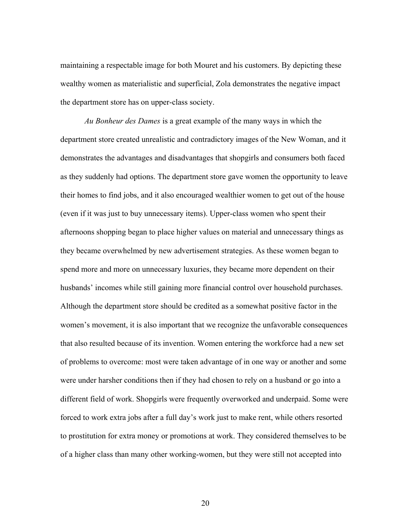maintaining a respectable image for both Mouret and his customers. By depicting these wealthy women as materialistic and superficial, Zola demonstrates the negative impact the department store has on upper-class society.

*Au Bonheur des Dames* is a great example of the many ways in which the department store created unrealistic and contradictory images of the New Woman, and it demonstrates the advantages and disadvantages that shopgirls and consumers both faced as they suddenly had options. The department store gave women the opportunity to leave their homes to find jobs, and it also encouraged wealthier women to get out of the house (even if it was just to buy unnecessary items). Upper-class women who spent their afternoons shopping began to place higher values on material and unnecessary things as they became overwhelmed by new advertisement strategies. As these women began to spend more and more on unnecessary luxuries, they became more dependent on their husbands' incomes while still gaining more financial control over household purchases. Although the department store should be credited as a somewhat positive factor in the women's movement, it is also important that we recognize the unfavorable consequences that also resulted because of its invention. Women entering the workforce had a new set of problems to overcome: most were taken advantage of in one way or another and some were under harsher conditions then if they had chosen to rely on a husband or go into a different field of work. Shopgirls were frequently overworked and underpaid. Some were forced to work extra jobs after a full day's work just to make rent, while others resorted to prostitution for extra money or promotions at work. They considered themselves to be of a higher class than many other working-women, but they were still not accepted into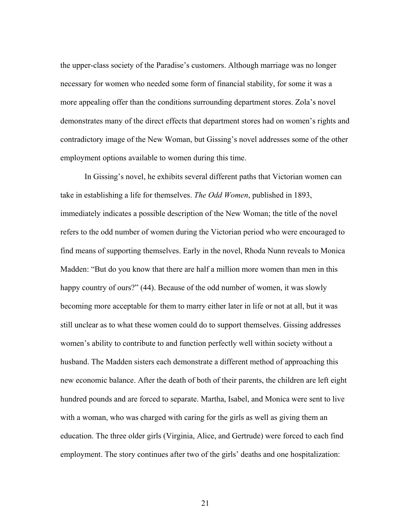the upper-class society of the Paradise's customers. Although marriage was no longer necessary for women who needed some form of financial stability, for some it was a more appealing offer than the conditions surrounding department stores. Zola's novel demonstrates many of the direct effects that department stores had on women's rights and contradictory image of the New Woman, but Gissing's novel addresses some of the other employment options available to women during this time.

In Gissing's novel, he exhibits several different paths that Victorian women can take in establishing a life for themselves. *The Odd Women*, published in 1893, immediately indicates a possible description of the New Woman; the title of the novel refers to the odd number of women during the Victorian period who were encouraged to find means of supporting themselves. Early in the novel, Rhoda Nunn reveals to Monica Madden: "But do you know that there are half a million more women than men in this happy country of ours?" (44). Because of the odd number of women, it was slowly becoming more acceptable for them to marry either later in life or not at all, but it was still unclear as to what these women could do to support themselves. Gissing addresses women's ability to contribute to and function perfectly well within society without a husband. The Madden sisters each demonstrate a different method of approaching this new economic balance. After the death of both of their parents, the children are left eight hundred pounds and are forced to separate. Martha, Isabel, and Monica were sent to live with a woman, who was charged with caring for the girls as well as giving them an education. The three older girls (Virginia, Alice, and Gertrude) were forced to each find employment. The story continues after two of the girls' deaths and one hospitalization: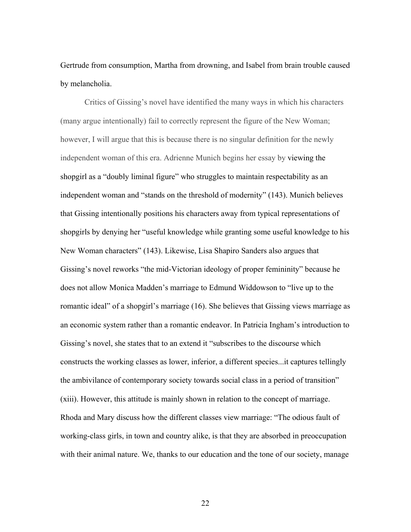Gertrude from consumption, Martha from drowning, and Isabel from brain trouble caused by melancholia.

Critics of Gissing's novel have identified the many ways in which his characters (many argue intentionally) fail to correctly represent the figure of the New Woman; however, I will argue that this is because there is no singular definition for the newly independent woman of this era. Adrienne Munich begins her essay by viewing the shopgirl as a "doubly liminal figure" who struggles to maintain respectability as an independent woman and "stands on the threshold of modernity" (143). Munich believes that Gissing intentionally positions his characters away from typical representations of shopgirls by denying her "useful knowledge while granting some useful knowledge to his New Woman characters" (143). Likewise, Lisa Shapiro Sanders also argues that Gissing's novel reworks "the mid-Victorian ideology of proper femininity" because he does not allow Monica Madden's marriage to Edmund Widdowson to "live up to the romantic ideal" of a shopgirl's marriage (16). She believes that Gissing views marriage as an economic system rather than a romantic endeavor. In Patricia Ingham's introduction to Gissing's novel, she states that to an extend it "subscribes to the discourse which constructs the working classes as lower, inferior, a different species...it captures tellingly the ambivilance of contemporary society towards social class in a period of transition" (xiii). However, this attitude is mainly shown in relation to the concept of marriage. Rhoda and Mary discuss how the different classes view marriage: "The odious fault of working-class girls, in town and country alike, is that they are absorbed in preoccupation with their animal nature. We, thanks to our education and the tone of our society, manage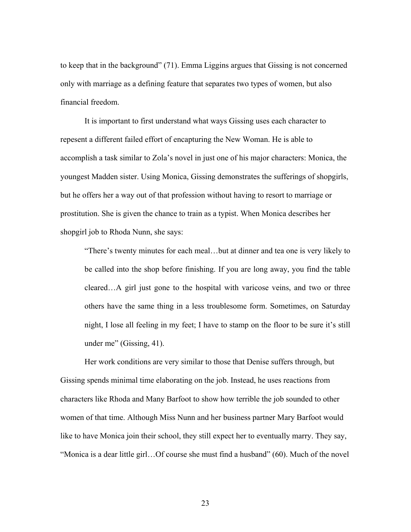to keep that in the background" (71). Emma Liggins argues that Gissing is not concerned only with marriage as a defining feature that separates two types of women, but also financial freedom.

It is important to first understand what ways Gissing uses each character to repesent a different failed effort of encapturing the New Woman. He is able to accomplish a task similar to Zola's novel in just one of his major characters: Monica, the youngest Madden sister. Using Monica, Gissing demonstrates the sufferings of shopgirls, but he offers her a way out of that profession without having to resort to marriage or prostitution. She is given the chance to train as a typist. When Monica describes her shopgirl job to Rhoda Nunn, she says:

"There's twenty minutes for each meal…but at dinner and tea one is very likely to be called into the shop before finishing. If you are long away, you find the table cleared…A girl just gone to the hospital with varicose veins, and two or three others have the same thing in a less troublesome form. Sometimes, on Saturday night, I lose all feeling in my feet; I have to stamp on the floor to be sure it's still under me" (Gissing, 41).

Her work conditions are very similar to those that Denise suffers through, but Gissing spends minimal time elaborating on the job. Instead, he uses reactions from characters like Rhoda and Many Barfoot to show how terrible the job sounded to other women of that time. Although Miss Nunn and her business partner Mary Barfoot would like to have Monica join their school, they still expect her to eventually marry. They say, "Monica is a dear little girl…Of course she must find a husband" (60). Much of the novel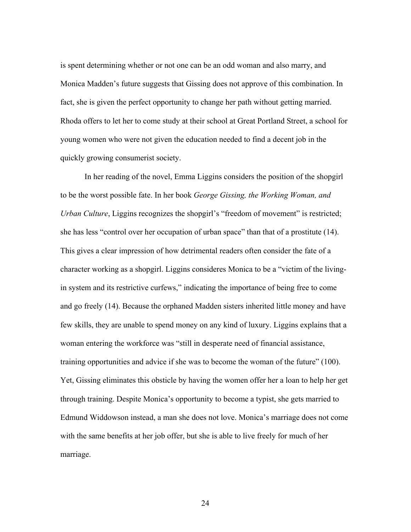is spent determining whether or not one can be an odd woman and also marry, and Monica Madden's future suggests that Gissing does not approve of this combination. In fact, she is given the perfect opportunity to change her path without getting married. Rhoda offers to let her to come study at their school at Great Portland Street, a school for young women who were not given the education needed to find a decent job in the quickly growing consumerist society.

In her reading of the novel, Emma Liggins considers the position of the shopgirl to be the worst possible fate. In her book *George Gissing, the Working Woman, and Urban Culture*, Liggins recognizes the shopgirl's "freedom of movement" is restricted; she has less "control over her occupation of urban space" than that of a prostitute (14). This gives a clear impression of how detrimental readers often consider the fate of a character working as a shopgirl. Liggins consideres Monica to be a "victim of the livingin system and its restrictive curfews," indicating the importance of being free to come and go freely (14). Because the orphaned Madden sisters inherited little money and have few skills, they are unable to spend money on any kind of luxury. Liggins explains that a woman entering the workforce was "still in desperate need of financial assistance, training opportunities and advice if she was to become the woman of the future" (100). Yet, Gissing eliminates this obsticle by having the women offer her a loan to help her get through training. Despite Monica's opportunity to become a typist, she gets married to Edmund Widdowson instead, a man she does not love. Monica's marriage does not come with the same benefits at her job offer, but she is able to live freely for much of her marriage.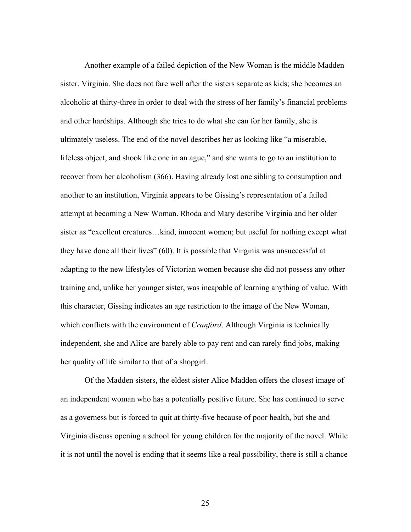Another example of a failed depiction of the New Woman is the middle Madden sister, Virginia. She does not fare well after the sisters separate as kids; she becomes an alcoholic at thirty-three in order to deal with the stress of her family's financial problems and other hardships. Although she tries to do what she can for her family, she is ultimately useless. The end of the novel describes her as looking like "a miserable, lifeless object, and shook like one in an ague," and she wants to go to an institution to recover from her alcoholism (366). Having already lost one sibling to consumption and another to an institution, Virginia appears to be Gissing's representation of a failed attempt at becoming a New Woman. Rhoda and Mary describe Virginia and her older sister as "excellent creatures…kind, innocent women; but useful for nothing except what they have done all their lives" (60). It is possible that Virginia was unsuccessful at adapting to the new lifestyles of Victorian women because she did not possess any other training and, unlike her younger sister, was incapable of learning anything of value. With this character, Gissing indicates an age restriction to the image of the New Woman, which conflicts with the environment of *Cranford*. Although Virginia is technically independent, she and Alice are barely able to pay rent and can rarely find jobs, making her quality of life similar to that of a shopgirl.

Of the Madden sisters, the eldest sister Alice Madden offers the closest image of an independent woman who has a potentially positive future. She has continued to serve as a governess but is forced to quit at thirty-five because of poor health, but she and Virginia discuss opening a school for young children for the majority of the novel. While it is not until the novel is ending that it seems like a real possibility, there is still a chance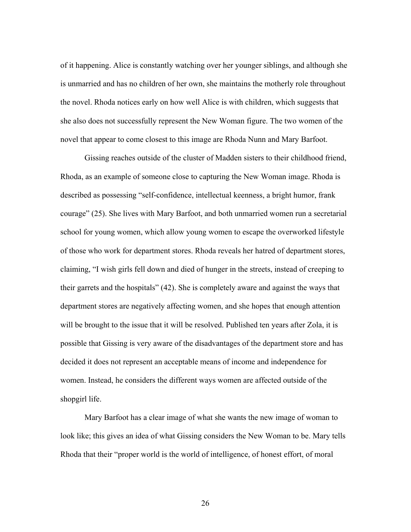of it happening. Alice is constantly watching over her younger siblings, and although she is unmarried and has no children of her own, she maintains the motherly role throughout the novel. Rhoda notices early on how well Alice is with children, which suggests that she also does not successfully represent the New Woman figure. The two women of the novel that appear to come closest to this image are Rhoda Nunn and Mary Barfoot.

Gissing reaches outside of the cluster of Madden sisters to their childhood friend, Rhoda, as an example of someone close to capturing the New Woman image. Rhoda is described as possessing "self-confidence, intellectual keenness, a bright humor, frank courage" (25). She lives with Mary Barfoot, and both unmarried women run a secretarial school for young women, which allow young women to escape the overworked lifestyle of those who work for department stores. Rhoda reveals her hatred of department stores, claiming, "I wish girls fell down and died of hunger in the streets, instead of creeping to their garrets and the hospitals" (42). She is completely aware and against the ways that department stores are negatively affecting women, and she hopes that enough attention will be brought to the issue that it will be resolved. Published ten years after Zola, it is possible that Gissing is very aware of the disadvantages of the department store and has decided it does not represent an acceptable means of income and independence for women. Instead, he considers the different ways women are affected outside of the shopgirl life.

Mary Barfoot has a clear image of what she wants the new image of woman to look like; this gives an idea of what Gissing considers the New Woman to be. Mary tells Rhoda that their "proper world is the world of intelligence, of honest effort, of moral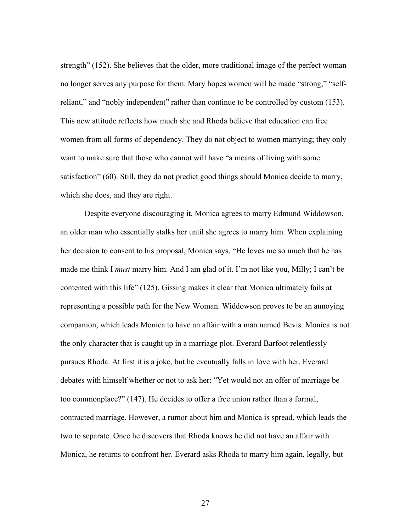strength" (152). She believes that the older, more traditional image of the perfect woman no longer serves any purpose for them. Mary hopes women will be made "strong," "selfreliant," and "nobly independent" rather than continue to be controlled by custom (153). This new attitude reflects how much she and Rhoda believe that education can free women from all forms of dependency. They do not object to women marrying; they only want to make sure that those who cannot will have "a means of living with some satisfaction" (60). Still, they do not predict good things should Monica decide to marry, which she does, and they are right.

Despite everyone discouraging it, Monica agrees to marry Edmund Widdowson, an older man who essentially stalks her until she agrees to marry him. When explaining her decision to consent to his proposal, Monica says, "He loves me so much that he has made me think I *must* marry him. And I am glad of it. I'm not like you, Milly; I can't be contented with this life" (125). Gissing makes it clear that Monica ultimately fails at representing a possible path for the New Woman. Widdowson proves to be an annoying companion, which leads Monica to have an affair with a man named Bevis. Monica is not the only character that is caught up in a marriage plot. Everard Barfoot relentlessly pursues Rhoda. At first it is a joke, but he eventually falls in love with her. Everard debates with himself whether or not to ask her: "Yet would not an offer of marriage be too commonplace?" (147). He decides to offer a free union rather than a formal, contracted marriage. However, a rumor about him and Monica is spread, which leads the two to separate. Once he discovers that Rhoda knows he did not have an affair with Monica, he returns to confront her. Everard asks Rhoda to marry him again, legally, but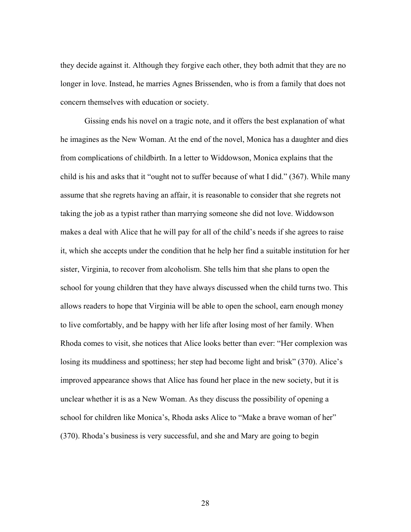they decide against it. Although they forgive each other, they both admit that they are no longer in love. Instead, he marries Agnes Brissenden, who is from a family that does not concern themselves with education or society.

Gissing ends his novel on a tragic note, and it offers the best explanation of what he imagines as the New Woman. At the end of the novel, Monica has a daughter and dies from complications of childbirth. In a letter to Widdowson, Monica explains that the child is his and asks that it "ought not to suffer because of what I did." (367). While many assume that she regrets having an affair, it is reasonable to consider that she regrets not taking the job as a typist rather than marrying someone she did not love. Widdowson makes a deal with Alice that he will pay for all of the child's needs if she agrees to raise it, which she accepts under the condition that he help her find a suitable institution for her sister, Virginia, to recover from alcoholism. She tells him that she plans to open the school for young children that they have always discussed when the child turns two. This allows readers to hope that Virginia will be able to open the school, earn enough money to live comfortably, and be happy with her life after losing most of her family. When Rhoda comes to visit, she notices that Alice looks better than ever: "Her complexion was losing its muddiness and spottiness; her step had become light and brisk" (370). Alice's improved appearance shows that Alice has found her place in the new society, but it is unclear whether it is as a New Woman. As they discuss the possibility of opening a school for children like Monica's, Rhoda asks Alice to "Make a brave woman of her" (370). Rhoda's business is very successful, and she and Mary are going to begin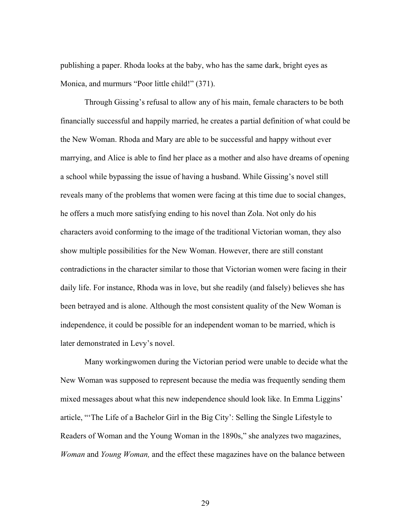publishing a paper. Rhoda looks at the baby, who has the same dark, bright eyes as Monica, and murmurs "Poor little child!" (371).

Through Gissing's refusal to allow any of his main, female characters to be both financially successful and happily married, he creates a partial definition of what could be the New Woman. Rhoda and Mary are able to be successful and happy without ever marrying, and Alice is able to find her place as a mother and also have dreams of opening a school while bypassing the issue of having a husband. While Gissing's novel still reveals many of the problems that women were facing at this time due to social changes, he offers a much more satisfying ending to his novel than Zola. Not only do his characters avoid conforming to the image of the traditional Victorian woman, they also show multiple possibilities for the New Woman. However, there are still constant contradictions in the character similar to those that Victorian women were facing in their daily life. For instance, Rhoda was in love, but she readily (and falsely) believes she has been betrayed and is alone. Although the most consistent quality of the New Woman is independence, it could be possible for an independent woman to be married, which is later demonstrated in Levy's novel.

Many workingwomen during the Victorian period were unable to decide what the New Woman was supposed to represent because the media was frequently sending them mixed messages about what this new independence should look like. In Emma Liggins' article, "'The Life of a Bachelor Girl in the Big City': Selling the Single Lifestyle to Readers of Woman and the Young Woman in the 1890s," she analyzes two magazines, *Woman* and *Young Woman,* and the effect these magazines have on the balance between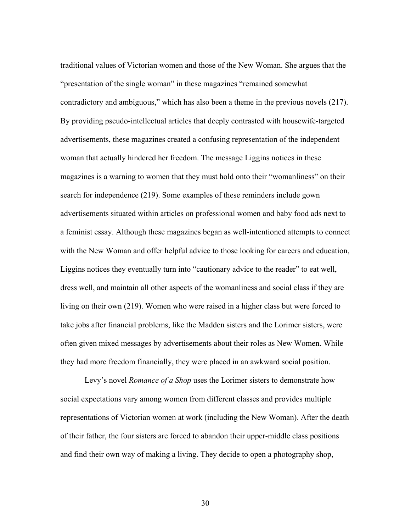traditional values of Victorian women and those of the New Woman. She argues that the "presentation of the single woman" in these magazines "remained somewhat contradictory and ambiguous," which has also been a theme in the previous novels (217). By providing pseudo-intellectual articles that deeply contrasted with housewife-targeted advertisements, these magazines created a confusing representation of the independent woman that actually hindered her freedom. The message Liggins notices in these magazines is a warning to women that they must hold onto their "womanliness" on their search for independence (219). Some examples of these reminders include gown advertisements situated within articles on professional women and baby food ads next to a feminist essay. Although these magazines began as well-intentioned attempts to connect with the New Woman and offer helpful advice to those looking for careers and education, Liggins notices they eventually turn into "cautionary advice to the reader" to eat well, dress well, and maintain all other aspects of the womanliness and social class if they are living on their own (219). Women who were raised in a higher class but were forced to take jobs after financial problems, like the Madden sisters and the Lorimer sisters, were often given mixed messages by advertisements about their roles as New Women. While they had more freedom financially, they were placed in an awkward social position.

Levy's novel *Romance of a Shop* uses the Lorimer sisters to demonstrate how social expectations vary among women from different classes and provides multiple representations of Victorian women at work (including the New Woman). After the death of their father, the four sisters are forced to abandon their upper-middle class positions and find their own way of making a living. They decide to open a photography shop,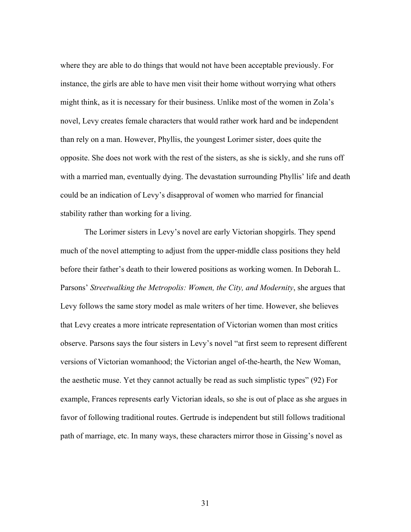where they are able to do things that would not have been acceptable previously. For instance, the girls are able to have men visit their home without worrying what others might think, as it is necessary for their business. Unlike most of the women in Zola's novel, Levy creates female characters that would rather work hard and be independent than rely on a man. However, Phyllis, the youngest Lorimer sister, does quite the opposite. She does not work with the rest of the sisters, as she is sickly, and she runs off with a married man, eventually dying. The devastation surrounding Phyllis' life and death could be an indication of Levy's disapproval of women who married for financial stability rather than working for a living.

The Lorimer sisters in Levy's novel are early Victorian shopgirls. They spend much of the novel attempting to adjust from the upper-middle class positions they held before their father's death to their lowered positions as working women. In Deborah L. Parsons' *Streetwalking the Metropolis: Women, the City, and Modernity*, she argues that Levy follows the same story model as male writers of her time. However, she believes that Levy creates a more intricate representation of Victorian women than most critics observe. Parsons says the four sisters in Levy's novel "at first seem to represent different versions of Victorian womanhood; the Victorian angel of-the-hearth, the New Woman, the aesthetic muse. Yet they cannot actually be read as such simplistic types" (92) For example, Frances represents early Victorian ideals, so she is out of place as she argues in favor of following traditional routes. Gertrude is independent but still follows traditional path of marriage, etc. In many ways, these characters mirror those in Gissing's novel as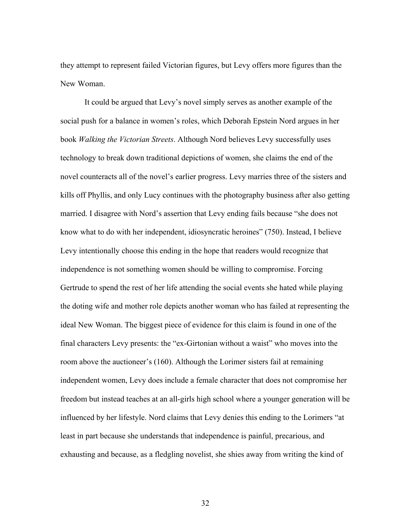they attempt to represent failed Victorian figures, but Levy offers more figures than the New Woman.

It could be argued that Levy's novel simply serves as another example of the social push for a balance in women's roles, which Deborah Epstein Nord argues in her book *Walking the Victorian Streets*. Although Nord believes Levy successfully uses technology to break down traditional depictions of women, she claims the end of the novel counteracts all of the novel's earlier progress. Levy marries three of the sisters and kills off Phyllis, and only Lucy continues with the photography business after also getting married. I disagree with Nord's assertion that Levy ending fails because "she does not know what to do with her independent, idiosyncratic heroines" (750). Instead, I believe Levy intentionally choose this ending in the hope that readers would recognize that independence is not something women should be willing to compromise. Forcing Gertrude to spend the rest of her life attending the social events she hated while playing the doting wife and mother role depicts another woman who has failed at representing the ideal New Woman. The biggest piece of evidence for this claim is found in one of the final characters Levy presents: the "ex-Girtonian without a waist" who moves into the room above the auctioneer's (160). Although the Lorimer sisters fail at remaining independent women, Levy does include a female character that does not compromise her freedom but instead teaches at an all-girls high school where a younger generation will be influenced by her lifestyle. Nord claims that Levy denies this ending to the Lorimers "at least in part because she understands that independence is painful, precarious, and exhausting and because, as a fledgling novelist, she shies away from writing the kind of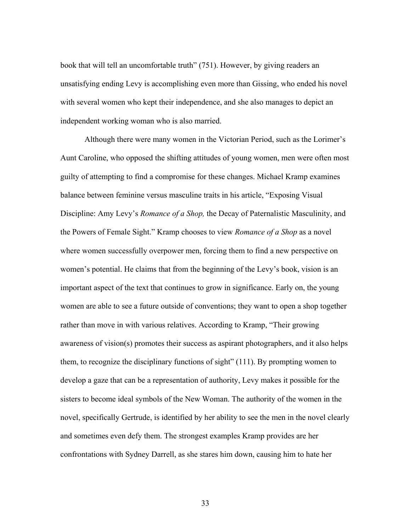book that will tell an uncomfortable truth" (751). However, by giving readers an unsatisfying ending Levy is accomplishing even more than Gissing, who ended his novel with several women who kept their independence, and she also manages to depict an independent working woman who is also married.

Although there were many women in the Victorian Period, such as the Lorimer's Aunt Caroline, who opposed the shifting attitudes of young women, men were often most guilty of attempting to find a compromise for these changes. Michael Kramp examines balance between feminine versus masculine traits in his article, "Exposing Visual Discipline: Amy Levy's *Romance of a Shop,* the Decay of Paternalistic Masculinity, and the Powers of Female Sight." Kramp chooses to view *Romance of a Shop* as a novel where women successfully overpower men, forcing them to find a new perspective on women's potential. He claims that from the beginning of the Levy's book, vision is an important aspect of the text that continues to grow in significance. Early on, the young women are able to see a future outside of conventions; they want to open a shop together rather than move in with various relatives. According to Kramp, "Their growing awareness of vision(s) promotes their success as aspirant photographers, and it also helps them, to recognize the disciplinary functions of sight" (111). By prompting women to develop a gaze that can be a representation of authority, Levy makes it possible for the sisters to become ideal symbols of the New Woman. The authority of the women in the novel, specifically Gertrude, is identified by her ability to see the men in the novel clearly and sometimes even defy them. The strongest examples Kramp provides are her confrontations with Sydney Darrell, as she stares him down, causing him to hate her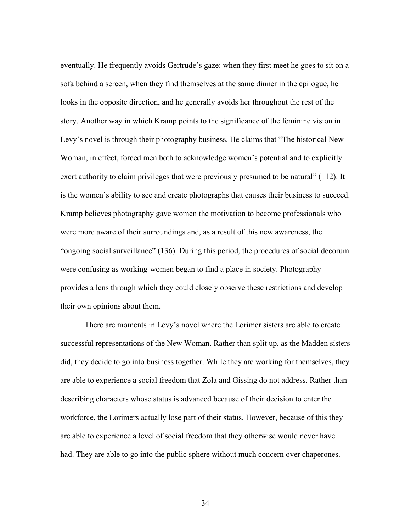eventually. He frequently avoids Gertrude's gaze: when they first meet he goes to sit on a sofa behind a screen, when they find themselves at the same dinner in the epilogue, he looks in the opposite direction, and he generally avoids her throughout the rest of the story. Another way in which Kramp points to the significance of the feminine vision in Levy's novel is through their photography business. He claims that "The historical New Woman, in effect, forced men both to acknowledge women's potential and to explicitly exert authority to claim privileges that were previously presumed to be natural" (112). It is the women's ability to see and create photographs that causes their business to succeed. Kramp believes photography gave women the motivation to become professionals who were more aware of their surroundings and, as a result of this new awareness, the "ongoing social surveillance" (136). During this period, the procedures of social decorum were confusing as working-women began to find a place in society. Photography provides a lens through which they could closely observe these restrictions and develop their own opinions about them.

There are moments in Levy's novel where the Lorimer sisters are able to create successful representations of the New Woman. Rather than split up, as the Madden sisters did, they decide to go into business together. While they are working for themselves, they are able to experience a social freedom that Zola and Gissing do not address. Rather than describing characters whose status is advanced because of their decision to enter the workforce, the Lorimers actually lose part of their status. However, because of this they are able to experience a level of social freedom that they otherwise would never have had. They are able to go into the public sphere without much concern over chaperones.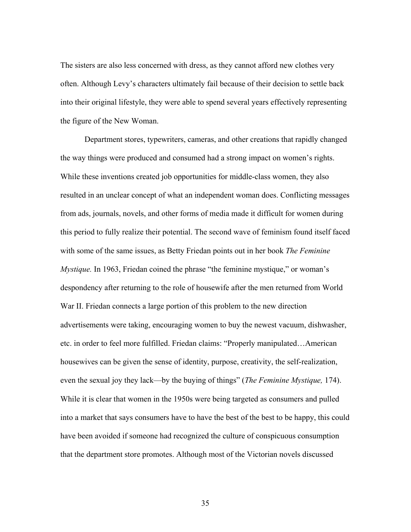The sisters are also less concerned with dress, as they cannot afford new clothes very often. Although Levy's characters ultimately fail because of their decision to settle back into their original lifestyle, they were able to spend several years effectively representing the figure of the New Woman.

Department stores, typewriters, cameras, and other creations that rapidly changed the way things were produced and consumed had a strong impact on women's rights. While these inventions created job opportunities for middle-class women, they also resulted in an unclear concept of what an independent woman does. Conflicting messages from ads, journals, novels, and other forms of media made it difficult for women during this period to fully realize their potential. The second wave of feminism found itself faced with some of the same issues, as Betty Friedan points out in her book *The Feminine Mystique.* In 1963, Friedan coined the phrase "the feminine mystique," or woman's despondency after returning to the role of housewife after the men returned from World War II. Friedan connects a large portion of this problem to the new direction advertisements were taking, encouraging women to buy the newest vacuum, dishwasher, etc. in order to feel more fulfilled. Friedan claims: "Properly manipulated…American housewives can be given the sense of identity, purpose, creativity, the self-realization, even the sexual joy they lack—by the buying of things" (*The Feminine Mystique,* 174). While it is clear that women in the 1950s were being targeted as consumers and pulled into a market that says consumers have to have the best of the best to be happy, this could have been avoided if someone had recognized the culture of conspicuous consumption that the department store promotes. Although most of the Victorian novels discussed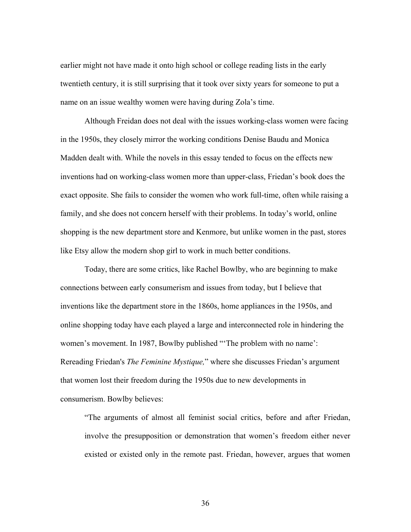earlier might not have made it onto high school or college reading lists in the early twentieth century, it is still surprising that it took over sixty years for someone to put a name on an issue wealthy women were having during Zola's time.

Although Freidan does not deal with the issues working-class women were facing in the 1950s, they closely mirror the working conditions Denise Baudu and Monica Madden dealt with. While the novels in this essay tended to focus on the effects new inventions had on working-class women more than upper-class, Friedan's book does the exact opposite. She fails to consider the women who work full-time, often while raising a family, and she does not concern herself with their problems. In today's world, online shopping is the new department store and Kenmore, but unlike women in the past, stores like Etsy allow the modern shop girl to work in much better conditions.

Today, there are some critics, like Rachel Bowlby, who are beginning to make connections between early consumerism and issues from today, but I believe that inventions like the department store in the 1860s, home appliances in the 1950s, and online shopping today have each played a large and interconnected role in hindering the women's movement. In 1987, Bowlby published "The problem with no name': Rereading Friedan's *The Feminine Mystique,*" where she discusses Friedan's argument that women lost their freedom during the 1950s due to new developments in consumerism. Bowlby believes:

"The arguments of almost all feminist social critics, before and after Friedan, involve the presupposition or demonstration that women's freedom either never existed or existed only in the remote past. Friedan, however, argues that women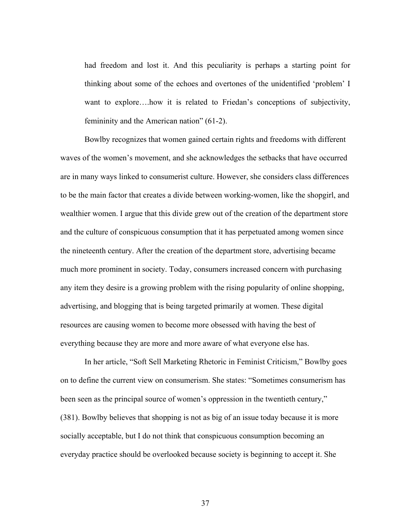had freedom and lost it. And this peculiarity is perhaps a starting point for thinking about some of the echoes and overtones of the unidentified 'problem' I want to explore….how it is related to Friedan's conceptions of subjectivity, femininity and the American nation" (61-2).

Bowlby recognizes that women gained certain rights and freedoms with different waves of the women's movement, and she acknowledges the setbacks that have occurred are in many ways linked to consumerist culture. However, she considers class differences to be the main factor that creates a divide between working-women, like the shopgirl, and wealthier women. I argue that this divide grew out of the creation of the department store and the culture of conspicuous consumption that it has perpetuated among women since the nineteenth century. After the creation of the department store, advertising became much more prominent in society. Today, consumers increased concern with purchasing any item they desire is a growing problem with the rising popularity of online shopping, advertising, and blogging that is being targeted primarily at women. These digital resources are causing women to become more obsessed with having the best of everything because they are more and more aware of what everyone else has.

In her article, "Soft Sell Marketing Rhetoric in Feminist Criticism," Bowlby goes on to define the current view on consumerism. She states: "Sometimes consumerism has been seen as the principal source of women's oppression in the twentieth century," (381). Bowlby believes that shopping is not as big of an issue today because it is more socially acceptable, but I do not think that conspicuous consumption becoming an everyday practice should be overlooked because society is beginning to accept it. She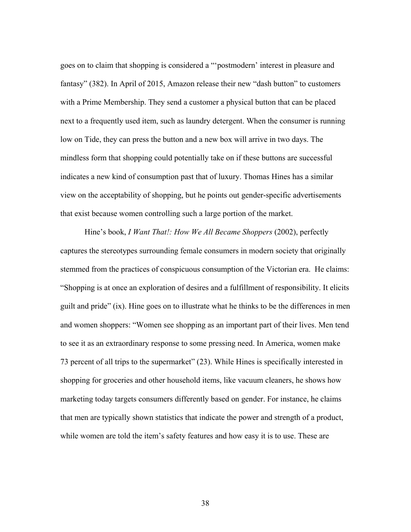goes on to claim that shopping is considered a "'postmodern' interest in pleasure and fantasy" (382). In April of 2015, Amazon release their new "dash button" to customers with a Prime Membership. They send a customer a physical button that can be placed next to a frequently used item, such as laundry detergent. When the consumer is running low on Tide, they can press the button and a new box will arrive in two days. The mindless form that shopping could potentially take on if these buttons are successful indicates a new kind of consumption past that of luxury. Thomas Hines has a similar view on the acceptability of shopping, but he points out gender-specific advertisements that exist because women controlling such a large portion of the market.

Hine's book, *I Want That!: How We All Became Shoppers* (2002), perfectly captures the stereotypes surrounding female consumers in modern society that originally stemmed from the practices of conspicuous consumption of the Victorian era. He claims: "Shopping is at once an exploration of desires and a fulfillment of responsibility. It elicits guilt and pride" (ix). Hine goes on to illustrate what he thinks to be the differences in men and women shoppers: "Women see shopping as an important part of their lives. Men tend to see it as an extraordinary response to some pressing need. In America, women make 73 percent of all trips to the supermarket" (23). While Hines is specifically interested in shopping for groceries and other household items, like vacuum cleaners, he shows how marketing today targets consumers differently based on gender. For instance, he claims that men are typically shown statistics that indicate the power and strength of a product, while women are told the item's safety features and how easy it is to use. These are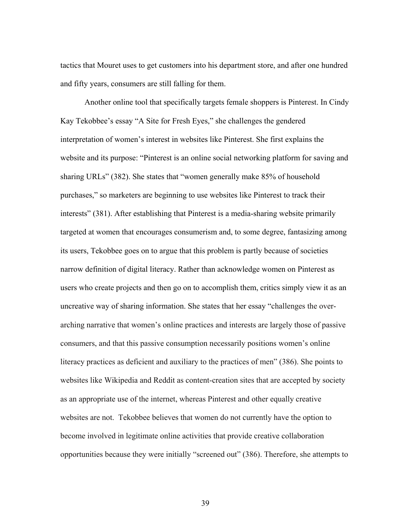tactics that Mouret uses to get customers into his department store, and after one hundred and fifty years, consumers are still falling for them.

Another online tool that specifically targets female shoppers is Pinterest. In Cindy Kay Tekobbee's essay "A Site for Fresh Eyes," she challenges the gendered interpretation of women's interest in websites like Pinterest. She first explains the website and its purpose: "Pinterest is an online social networking platform for saving and sharing URLs" (382). She states that "women generally make 85% of household purchases," so marketers are beginning to use websites like Pinterest to track their interests" (381). After establishing that Pinterest is a media-sharing website primarily targeted at women that encourages consumerism and, to some degree, fantasizing among its users, Tekobbee goes on to argue that this problem is partly because of societies narrow definition of digital literacy. Rather than acknowledge women on Pinterest as users who create projects and then go on to accomplish them, critics simply view it as an uncreative way of sharing information. She states that her essay "challenges the overarching narrative that women's online practices and interests are largely those of passive consumers, and that this passive consumption necessarily positions women's online literacy practices as deficient and auxiliary to the practices of men" (386). She points to websites like Wikipedia and Reddit as content-creation sites that are accepted by society as an appropriate use of the internet, whereas Pinterest and other equally creative websites are not. Tekobbee believes that women do not currently have the option to become involved in legitimate online activities that provide creative collaboration opportunities because they were initially "screened out" (386). Therefore, she attempts to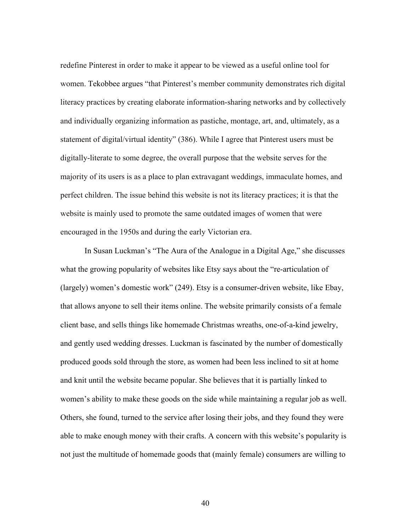redefine Pinterest in order to make it appear to be viewed as a useful online tool for women. Tekobbee argues "that Pinterest's member community demonstrates rich digital literacy practices by creating elaborate information-sharing networks and by collectively and individually organizing information as pastiche, montage, art, and, ultimately, as a statement of digital/virtual identity" (386). While I agree that Pinterest users must be digitally-literate to some degree, the overall purpose that the website serves for the majority of its users is as a place to plan extravagant weddings, immaculate homes, and perfect children. The issue behind this website is not its literacy practices; it is that the website is mainly used to promote the same outdated images of women that were encouraged in the 1950s and during the early Victorian era.

In Susan Luckman's "The Aura of the Analogue in a Digital Age," she discusses what the growing popularity of websites like Etsy says about the "re-articulation of (largely) women's domestic work" (249). Etsy is a consumer-driven website, like Ebay, that allows anyone to sell their items online. The website primarily consists of a female client base, and sells things like homemade Christmas wreaths, one-of-a-kind jewelry, and gently used wedding dresses. Luckman is fascinated by the number of domestically produced goods sold through the store, as women had been less inclined to sit at home and knit until the website became popular. She believes that it is partially linked to women's ability to make these goods on the side while maintaining a regular job as well. Others, she found, turned to the service after losing their jobs, and they found they were able to make enough money with their crafts. A concern with this website's popularity is not just the multitude of homemade goods that (mainly female) consumers are willing to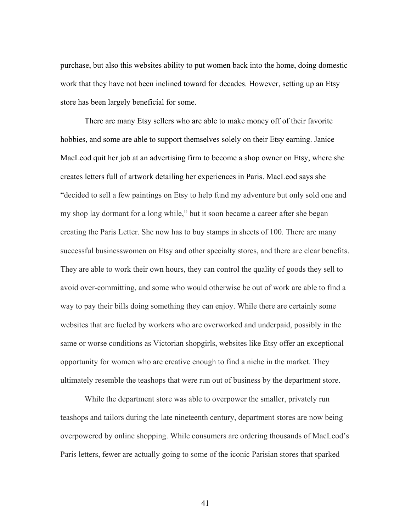purchase, but also this websites ability to put women back into the home, doing domestic work that they have not been inclined toward for decades. However, setting up an Etsy store has been largely beneficial for some.

There are many Etsy sellers who are able to make money off of their favorite hobbies, and some are able to support themselves solely on their Etsy earning. Janice MacLeod quit her job at an advertising firm to become a shop owner on Etsy, where she creates letters full of artwork detailing her experiences in Paris. MacLeod says she "decided to sell a few paintings on Etsy to help fund my adventure but only sold one and my shop lay dormant for a long while," but it soon became a career after she began creating the Paris Letter. She now has to buy stamps in sheets of 100. There are many successful businesswomen on Etsy and other specialty stores, and there are clear benefits. They are able to work their own hours, they can control the quality of goods they sell to avoid over-committing, and some who would otherwise be out of work are able to find a way to pay their bills doing something they can enjoy. While there are certainly some websites that are fueled by workers who are overworked and underpaid, possibly in the same or worse conditions as Victorian shopgirls, websites like Etsy offer an exceptional opportunity for women who are creative enough to find a niche in the market. They ultimately resemble the teashops that were run out of business by the department store.

While the department store was able to overpower the smaller, privately run teashops and tailors during the late nineteenth century, department stores are now being overpowered by online shopping. While consumers are ordering thousands of MacLeod's Paris letters, fewer are actually going to some of the iconic Parisian stores that sparked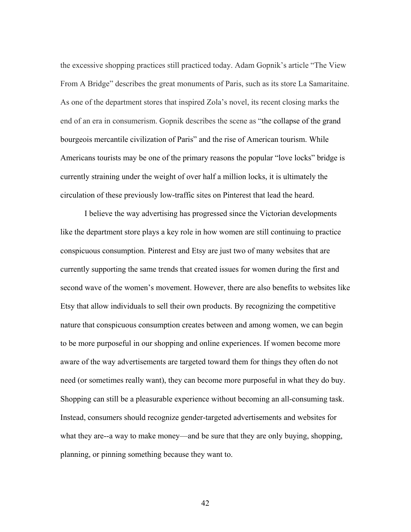the excessive shopping practices still practiced today. Adam Gopnik's article "The View From A Bridge" describes the great monuments of Paris, such as its store La Samaritaine. As one of the department stores that inspired Zola's novel, its recent closing marks the end of an era in consumerism. Gopnik describes the scene as "the collapse of the grand bourgeois mercantile civilization of Paris" and the rise of American tourism. While Americans tourists may be one of the primary reasons the popular "love locks" bridge is currently straining under the weight of over half a million locks, it is ultimately the circulation of these previously low-traffic sites on Pinterest that lead the heard.

I believe the way advertising has progressed since the Victorian developments like the department store plays a key role in how women are still continuing to practice conspicuous consumption. Pinterest and Etsy are just two of many websites that are currently supporting the same trends that created issues for women during the first and second wave of the women's movement. However, there are also benefits to websites like Etsy that allow individuals to sell their own products. By recognizing the competitive nature that conspicuous consumption creates between and among women, we can begin to be more purposeful in our shopping and online experiences. If women become more aware of the way advertisements are targeted toward them for things they often do not need (or sometimes really want), they can become more purposeful in what they do buy. Shopping can still be a pleasurable experience without becoming an all-consuming task. Instead, consumers should recognize gender-targeted advertisements and websites for what they are--a way to make money—and be sure that they are only buying, shopping, planning, or pinning something because they want to.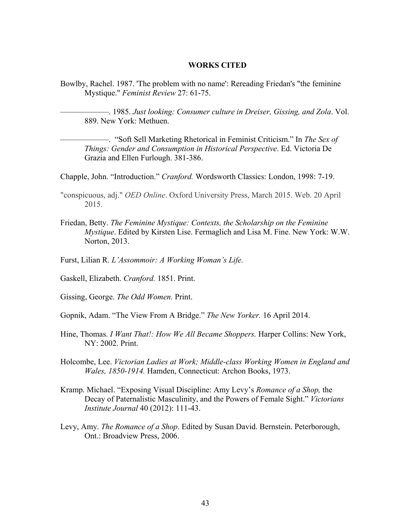#### **WORKS CITED**

Bowlby, Rachel. 1987. 'The problem with no name': Rereading Friedan's "the feminine Mystique." *Feminist Review* 27: 61-75.

——————. 1985. *Just looking: Consumer culture in Dreiser, Gissing, and Zola*. Vol. 889. New York: Methuen.

——————. "Soft Sell Marketing Rhetorical in Feminist Criticism." In *The Sex of Things: Gender and Consumption in Historical Perspective*. Ed. Victoria De Grazia and Ellen Furlough. 381-386.

Chapple, John. "Introduction." *Cranford.* Wordsworth Classics: London, 1998: 7-19.

"conspicuous, adj." *OED Online*. Oxford University Press, March 2015. Web. 20 April 2015.

- Friedan, Betty. *The Feminine Mystique: Contexts, the Scholarship on the Feminine Mystique*. Edited by Kirsten Lise. Fermaglich and Lisa M. Fine. New York: W.W. Norton, 2013.
- Furst, Lilian R. *L'Assommoir: A Working Woman's Life.*
- Gaskell, Elizabeth. *Cranford.* 1851. Print.
- Gissing, George. *The Odd Women.* Print.
- Gopnik, Adam. "The View From A Bridge." *The New Yorker.* 16 April 2014.
- Hine, Thomas. *I Want That!: How We All Became Shoppers.* Harper Collins: New York, NY: 2002. Print.
- Holcombe, Lee. *Victorian Ladies at Work; Middle-class Working Women in England and Wales, 1850-1914.* Hamden, Connecticut: Archon Books, 1973.
- Kramp. Michael. "Exposing Visual Discipline: Amy Levy's *Romance of a Shop,* the Decay of Paternalistic Masculinity, and the Powers of Female Sight." *Victorians Institute Journal* 40 (2012): 111-43.
- Levy, Amy. *The Romance of a Shop*. Edited by Susan David. Bernstein. Peterborough, Ont.: Broadview Press, 2006.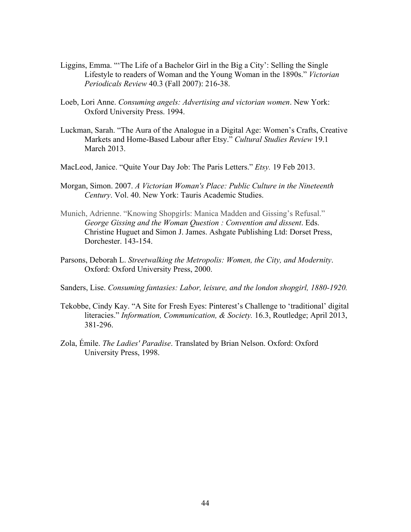- Liggins, Emma. "'The Life of a Bachelor Girl in the Big a City': Selling the Single Lifestyle to readers of Woman and the Young Woman in the 1890s." *Victorian Periodicals Review* 40.3 (Fall 2007): 216-38.
- Loeb, Lori Anne. *Consuming angels: Advertising and victorian women*. New York: Oxford University Press. 1994.
- Luckman, Sarah. "The Aura of the Analogue in a Digital Age: Women's Crafts, Creative Markets and Home-Based Labour after Etsy." *Cultural Studies Review* 19.1 March 2013.
- MacLeod, Janice. "Quite Your Day Job: The Paris Letters." *Etsy.* 19 Feb 2013.
- Morgan, Simon. 2007. *A Victorian Woman's Place: Public Culture in the Nineteenth Century*. Vol. 40. New York: Tauris Academic Studies.
- Munich, Adrienne. "Knowing Shopgirls: Manica Madden and Gissing's Refusal." *George Gissing and the Woman Question : Convention and dissent*. Eds. Christine Huguet and Simon J. James. Ashgate Publishing Ltd: Dorset Press, Dorchester. 143-154.
- Parsons, Deborah L. *Streetwalking the Metropolis: Women, the City, and Modernity*. Oxford: Oxford University Press, 2000.
- Sanders, Lise. *Consuming fantasies: Labor, leisure, and the london shopgirl, 1880-1920.*
- Tekobbe, Cindy Kay. "A Site for Fresh Eyes: Pinterest's Challenge to 'traditional' digital literacies." *Information, Communication, & Society.* 16.3, Routledge; April 2013, 381-296.
- Zola, Émile. *The Ladies' Paradise*. Translated by Brian Nelson. Oxford: Oxford University Press, 1998.